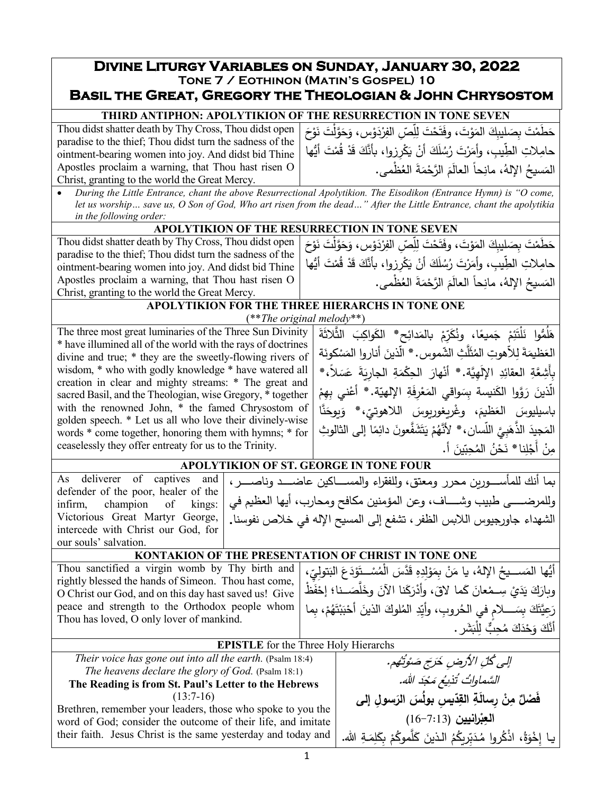# **Divine Liturgy Variables on Sunday, January 30, 2022 Tone 7 / Eothinon (Matin's Gospel) 10 Basil the Great, Gregory the Theologian & John Chrysostom**

# **THIRD ANTIPHON: APOLYTIKION OF THE RESURRECTION IN TONE SEVEN**

Thou didst shatter death by Thy Cross, Thou didst open paradise to the thief; Thou didst turn the sadness of the ointment-bearing women into joy. And didst bid Thine Apostles proclaim a warning, that Thou hast risen O Christ, granting to the world the Great Mercy.

حَطَمْتَ بِصَليبِكَ المَوْتَ، وفَتَحْتَ لِلِّصِّ الفِرْدَوْس، وَحَوَّلْتَ نَوْحَ<br>-حامِلاتِ الطِّيبِ، وأمَرْتَ رُسُلَكَ أنْ يَكْرِزِوا، بأنَّكَ قَدْ قُمْتَ أَيُّها المَسيحُ الإِلهُ، مانِحاً العالَمَ الرَّحْمَةَ العُظْمى.

• *During the Little Entrance, chant the above Resurrectional Apolytikion. The Eisodikon (Entrance Hymn) is "O come, let us worship… save us, O Son of God, Who art risen from the dead…" After the Little Entrance, chant the apolytikia in the following order:*

## **APOLYTIKION OF THE RESURRECTION IN TONE SEVEN**

Thou didst shatter death by Thy Cross, Thou didst open paradise to the thief; Thou didst turn the sadness of the ointment-bearing women into joy. And didst bid Thine Apostles proclaim a warning, that Thou hast risen O Christ, granting to the world the Great Mercy.

حَطَمْتَ بِصَليبِكَ المَوْتَ، وفَتَحْتَ لِلِّصِّرِ الفِرْدَوْس، وَحَوَّلْتَ نَوْحَ<br>-حامِلاتِ الطِّيبِ، وأَمَرْتَ رُسُلَكَ أَنْ يَكْرِزِوا، بأَنَّكَ قَدْ قُمْتَ أَيُّها المَسيحُ الإِلهُ، مانِحاً العالَمَ الرَّحْمَةَ العُظْمى.

#### **APOLYTIKION FOR THE THREE HIERARCHS IN TONE ONE** (\*\**The original melody*\*\*)

The three most great luminaries of the Three Sun Divinity \* have illumined all of the world with the rays of doctrines divine and true; \* they are the sweetly-flowing rivers of wisdom, \* who with godly knowledge \* have watered all creation in clear and mighty streams: \* The great and sacred Basil, and the Theologian, wise Gregory, \* together with the renowned John, \* the famed Chrysostom of golden speech. \* Let us all who love their divinely-wise words \* come together, honoring them with hymns; \* for ceaselessly they offer entreaty for us to the Trinity.

هَلُمُّوا نَلْتَئِمْ جَميعًا، ونُكَرِّمْ بالمَدائِحِ\* الكَواكِبَ الثَّلاثَةَ َ العَظيمَةَ لِلاّهوتِ المُثَلَّثِ الشّموس. \* الّذينَ أناروا المَسْكونَة<br>-ِ أَشِعَّةِ العقائِدِ الإلَهِيَّة.\* أَنْهارَ الحِكْمَةِ الجارِيَةَ عَسَلاً،\* ْ الّذينَ رَوَّوا الكَنيسة بِسَواقي المَعْرِفَةِ الإلهيّة. \* أَعْني بِهِمْ ْ باسيليوسَ العَظيمَ، وغْريغوريوسَ اللاهوتيّ،\* وَيوحَنَّا<br>ندست القَّاسِياتِ مِنْ يَوْمَنَّاسُ وَيَوَمَّ َ ـٰـٰ المَجيدَ الذَّهَبِيَّ اللّسان،\* لأَنَّهُمْ يَتَشَفَّعونَ دائِمًا إلى الثالوثِ<br>مُسَفِّضَةٍ مِنْ أَجْلِنا\* نَحْنُ الْمُحِبّينَ أ. **ٔ** 

> إلى كُلِّ الأَرضِ خَرَجَ صَوْتُهُم. السَّماواتُ تُذيعُ مَجْدَ الله.

**َ ِ سول إلى ّ ِ �س ُ بول َس الر ِد ِ الق ْن ِ ر َسالة ِ ٌ م َف ْصل العِبْرانيين (7**:13–16)<br>\* يا إِخْوَةُ، اذْكُروا مُدَبِّرِيكُمُ الذينَ كَلَّموكُمْ بِكَلِمَةِ الله.

َ

## **APOLYTIKION OF ST. GEORGE IN TONE FOUR**

|                                             | As deliverer of captives and   والمصاكين عاضــد وناصـــر، As deliverer of captives and   بما أنك للمأســورين محرر ومعتق، وللفقراء والمســاكين عاضـــد وناصـــر، |
|---------------------------------------------|-----------------------------------------------------------------------------------------------------------------------------------------------------------------|
| defender of the poor, healer of the $\vert$ |                                                                                                                                                                 |
|                                             | وللمرضــــى طبيب وشـــاف، وعن المؤمنين مكافح ومحارب، أيها العظيم في   :infirm, champion of kings                                                                |
|                                             | الشهداء جاورجيوس اللابس الظفر ، تشفع إلى المسيح الإله في خلاص نفوسنا.   Victorious  Great  Martyr  George,                                                      |
| intercede with Christ our God, for          |                                                                                                                                                                 |
| our souls' salvation.                       |                                                                                                                                                                 |

## **KONTAKION OF THE PRESENTATION OF CHRIST IN TONE ONE**

Thou sanctified a virgin womb by Thy birth and rightly blessed the hands of Simeon. Thou hast come, O Christ our God, and on this day hast saved us! Give peace and strength to the Orthodox people whom Thou has loved, O only lover of mankind. أَيُّها المَســـيحُ الإِلهُ، يا مَنْ بِمَوْلِدِهِ قَدَّسَ الْمُسْــتَوْدَعَ البَتولِيِّ،<br>ما المَســـيحُ الإِلهُ، يا مَنْ بِمَوْلِدِهِ قَدَّسَ الْمُسْــتَوْدَعَ البَتولِيِّ، ْ َ ْظ ْف َّصـــــ َ نا؛ إح َل َ وخ َنا الآن َك ْر ،َ وأد َما لاق � َ ْعان ْ ســـــ ِ <sup>م</sup> َي د َ ی َك و�ار .<br>ا رَعِيَّتَكَ بِسَـــــلامٍ في الـحُروبِ، وأَيِّدِ المُلوكَ الذينَ أَحْبَبْتَهُمْ، بِما<br>تَعَيَّتَكَ بَسَــــلامٍ ْ .<br>. أَنَّكَ وَحْذَكَ مُحِبٌّ لِلْبَشَرِ .

### **EPISTLE** for the Three Holy Hierarchs

*Their voice has gone out into all the earth.* (Psalm 18:4) *The heavens declare the glory of God.* (Psalm 18:1) **The Reading is from St. Paul's Letter to the Hebrews**  $(13:7-16)$ 

Brethren, remember your leaders, those who spoke to you the word of God; consider the outcome of their life, and imitate their faith. Jesus Christ is the same yesterday and today and